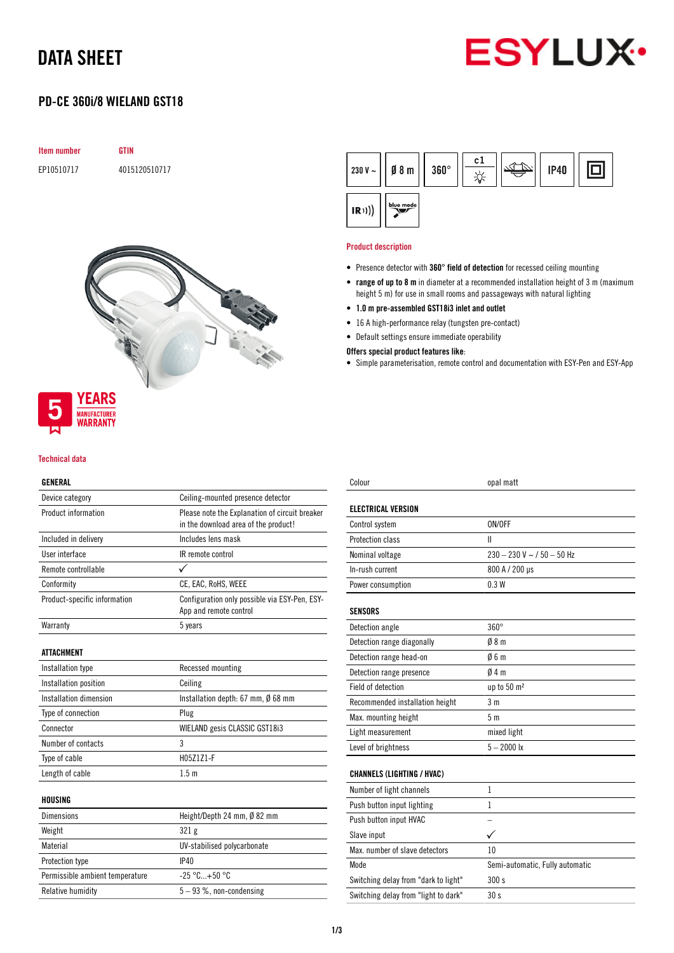# DATA SHEET



# PD-CE 360i/8 WIELAND GST18





#### Technical data

WARRANTY

# GENERAL

| Device category                 | Ceiling-mounted presence detector                                                      |
|---------------------------------|----------------------------------------------------------------------------------------|
| Product information             | Please note the Explanation of circuit breaker<br>in the download area of the product! |
| Included in delivery            | Includes lens mask                                                                     |
| User interface                  | IR remote control                                                                      |
| Remote controllable             |                                                                                        |
| Conformity                      | CE, EAC, RoHS, WEEE                                                                    |
| Product-specific information    | Configuration only possible via ESY-Pen, ESY-<br>App and remote control                |
| Warranty                        | 5 years                                                                                |
| <b>ATTACHMENT</b>               |                                                                                        |
| Installation type               | Recessed mounting                                                                      |
| Installation position           | Ceiling                                                                                |
| Installation dimension          | Installation depth: $67$ mm, $\emptyset$ 68 mm                                         |
| Type of connection              | Plug                                                                                   |
| Connector                       | WIELAND gesis CLASSIC GST18i3                                                          |
| Number of contacts              | 3                                                                                      |
| Type of cable                   | H05Z1Z1-F                                                                              |
| Length of cable                 | 1.5 <sub>m</sub>                                                                       |
| HOUSING                         |                                                                                        |
| <b>Dimensions</b>               | Height/Depth 24 mm, Ø 82 mm                                                            |
| Weight                          | 321 g                                                                                  |
| Material                        | UV-stabilised polycarbonate                                                            |
| Protection type                 | IP40                                                                                   |
| Permissible ambient temperature | $-25 °C + 50 °C$                                                                       |
| <b>Relative humidity</b>        | 5-93 %, non-condensing                                                                 |



#### Product description

- Presence detector with 360° field of detection for recessed ceiling mounting
- range of up to 8 m in diameter at a recommended installation height of 3 m (maximum height 5 m) for use in small rooms and passageways with natural lighting
- 1.0 m pre-assembled GST18i3 inlet and outlet
- 16 A high-performance relay (tungsten pre-contact)
- Default settings ensure immediate operability

## Offers special product features like:

• Simple parameterisation, remote control and documentation with ESY-Pen and ESY-App

| Colour                               | opal matt                       |
|--------------------------------------|---------------------------------|
| <b>ELECTRICAL VERSION</b>            |                                 |
|                                      |                                 |
| Control system                       | ON/OFF                          |
| Protection class                     | $\mathbf{I}$                    |
| Nominal voltage                      | $230 - 230$ V ~ / 50 - 50 Hz    |
| In-rush current                      | 800 A / 200 µs                  |
| Power consumption                    | 0.3W                            |
| <b>SENSORS</b>                       |                                 |
| Detection angle                      | $360^\circ$                     |
| Detection range diagonally           | 08 <sub>m</sub>                 |
| Detection range head-on              | 06m                             |
| Detection range presence             | 04m                             |
| Field of detection                   | up to 50 m <sup>2</sup>         |
| Recommended installation height      | 3 <sub>m</sub>                  |
| Max. mounting height                 | 5 <sub>m</sub>                  |
| Light measurement                    | mixed light                     |
| Level of brightness                  | $5 - 2000$ lx                   |
| <b>CHANNELS (LIGHTING / HVAC)</b>    |                                 |
| Number of light channels             | 1                               |
| Push button input lighting           | 1                               |
| Push button input HVAC               | $\equiv$                        |
| Slave input                          | ✓                               |
| Max, number of slave detectors       | 10                              |
| Mode                                 | Semi-automatic, Fully automatic |
| Switching delay from "dark to light" | 300s                            |
| Switching delay from "light to dark" | 30 <sub>s</sub>                 |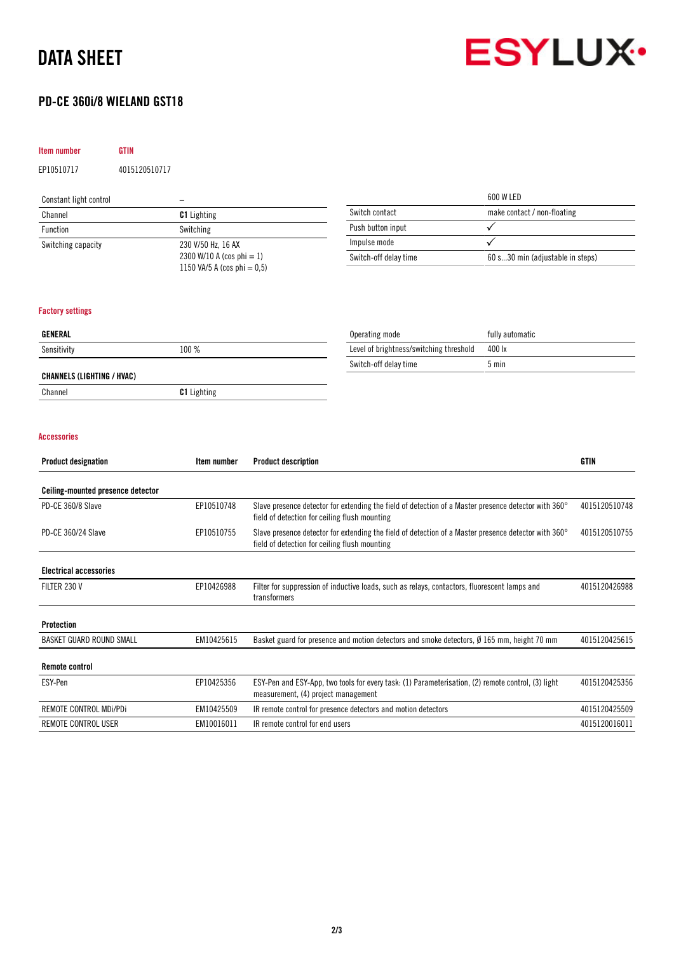# DATA SHEET

# PD-CE 360i/8 WIELAND GST18

## Item number GTIN

EP10510717 4015120510717

# Constant light control –

| Channel                                                     | <b>C1</b> Lighting | Switch contact        | make contact / non-floating      |  |
|-------------------------------------------------------------|--------------------|-----------------------|----------------------------------|--|
| <b>Function</b>                                             | Switching          | Push button input     |                                  |  |
| Switching capacity                                          | 230 V/50 Hz, 16 AX | Impulse mode          |                                  |  |
| 2300 W/10 A (cos phi = 1)<br>1150 VA/5 A (cos phi $= 0.5$ ) |                    | Switch-off delay time | 60 s30 min (adjustable in steps) |  |
|                                                             |                    |                       |                                  |  |

## Factory settings

| GENERAL                    |                    | Operating mode                          | fully automatic |
|----------------------------|--------------------|-----------------------------------------|-----------------|
| Sensitivity                | 100 %              | Level of brightness/switching threshold | 400 lx          |
|                            |                    | Switch-off delay time                   | 5 min           |
| CHANNELS (LIGHTING / HVAC) |                    |                                         |                 |
| Channel                    | <b>C1</b> Lighting |                                         |                 |

#### Accessories

| <b>Product designation</b>        | Item number | <b>Product description</b>                                                                                                                                     | <b>GTIN</b>   |
|-----------------------------------|-------------|----------------------------------------------------------------------------------------------------------------------------------------------------------------|---------------|
| Ceiling-mounted presence detector |             |                                                                                                                                                                |               |
| PD-CE 360/8 Slave                 | EP10510748  | Slave presence detector for extending the field of detection of a Master presence detector with 360°<br>field of detection for ceiling flush mounting          | 4015120510748 |
| PD-CE 360/24 Slave                | EP10510755  | Slave presence detector for extending the field of detection of a Master presence detector with $360^{\circ}$<br>field of detection for ceiling flush mounting | 4015120510755 |
| <b>Electrical accessories</b>     |             |                                                                                                                                                                |               |
| FILTER 230 V                      | EP10426988  | Filter for suppression of inductive loads, such as relays, contactors, fluorescent lamps and<br>transformers                                                   | 4015120426988 |
| Protection                        |             |                                                                                                                                                                |               |
| BASKET GUARD ROUND SMALL          | EM10425615  | Basket guard for presence and motion detectors and smoke detectors, Ø 165 mm, height 70 mm                                                                     | 4015120425615 |
| <b>Remote control</b>             |             |                                                                                                                                                                |               |
| ESY-Pen                           | EP10425356  | ESY-Pen and ESY-App, two tools for every task: (1) Parameterisation, (2) remote control, (3) light<br>measurement, (4) project management                      |               |
| REMOTE CONTROL MDi/PDi            | EM10425509  | IR remote control for presence detectors and motion detectors                                                                                                  | 4015120425509 |
| REMOTE CONTROL USER               | EM10016011  | IR remote control for end users                                                                                                                                | 4015120016011 |



600 W LED